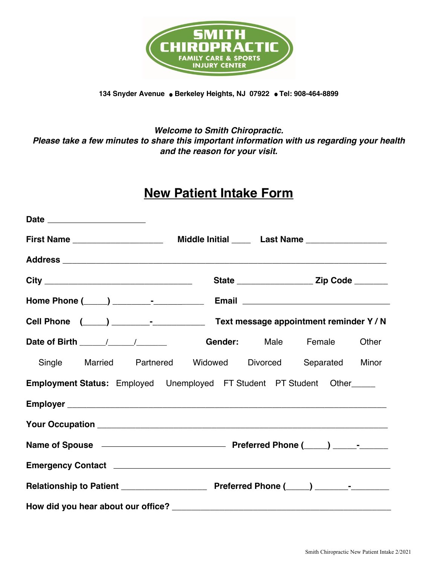

134 Snyder Avenue . Berkeley Heights, NJ 07922 . Tel: 908-464-8899

## *Welcome to Smith Chiropractic. Please take a few minutes to share this important information with us regarding your health and the reason for your visit.*

# **New Patient Intake Form**

|                                                                         | Other |
|-------------------------------------------------------------------------|-------|
| Single Married Partnered Widowed Divorced Separated Minor               |       |
| Employment Status: Employed Unemployed FT Student PT Student Other_____ |       |
|                                                                         |       |
|                                                                         |       |
|                                                                         |       |
|                                                                         |       |
|                                                                         |       |
|                                                                         |       |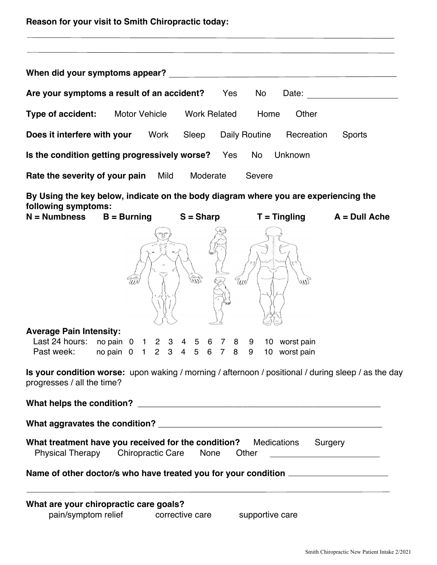| When did your symptoms appear?                                                                                                                     |                                               |                 |                 |                                                      |                                                                                                                                                                                                                                |
|----------------------------------------------------------------------------------------------------------------------------------------------------|-----------------------------------------------|-----------------|-----------------|------------------------------------------------------|--------------------------------------------------------------------------------------------------------------------------------------------------------------------------------------------------------------------------------|
| Are your symptoms a result of an accident? Yes No                                                                                                  |                                               |                 |                 |                                                      | Date: the contract of the contract of the contract of the contract of the contract of the contract of the contract of the contract of the contract of the contract of the contract of the contract of the contract of the cont |
| Type of accident: Motor Vehicle Work Related Home                                                                                                  |                                               |                 |                 | Other                                                |                                                                                                                                                                                                                                |
| <b>Does it interfere with your</b> Work Sleep Daily Routine Recreation                                                                             |                                               |                 |                 |                                                      | Sports                                                                                                                                                                                                                         |
| Is the condition getting progressively worse? Yes No                                                                                               |                                               |                 |                 | Unknown                                              |                                                                                                                                                                                                                                |
| <b>Rate the severity of your pain</b> Mild Moderate                                                                                                |                                               |                 | Severe          |                                                      |                                                                                                                                                                                                                                |
| By Using the key below, indicate on the body diagram where you are experiencing the                                                                |                                               |                 |                 |                                                      |                                                                                                                                                                                                                                |
| following symptoms:<br>$N =$ Numbness B = Burning S = Sharp T = Tingling A = Dull Ache                                                             |                                               |                 |                 |                                                      |                                                                                                                                                                                                                                |
| <b>Average Pain Intensity:</b><br>Last 24 hours: no pain 0 1 2 3 4 5 6 7 8 9 10 worst pain<br>Past week: no pain 0 1 2 3 4 5 6 7 8 9 10 worst pain | $\widehat{\overline{u}}$                      |                 | Uw              | UN                                                   |                                                                                                                                                                                                                                |
| Is your condition worse: upon waking / morning / afternoon / positional / during sleep / as the day<br>progresses / all the time?                  |                                               |                 |                 |                                                      |                                                                                                                                                                                                                                |
|                                                                                                                                                    |                                               |                 |                 |                                                      |                                                                                                                                                                                                                                |
|                                                                                                                                                    |                                               |                 |                 |                                                      |                                                                                                                                                                                                                                |
| What treatment have you received for the condition? Medications Surgery                                                                            | Physical Therapy Chiropractic Care None Other |                 |                 | <u> 1989 - Andrea Barbara, politikar politikar (</u> |                                                                                                                                                                                                                                |
| Name of other doctor/s who have treated you for your condition _________________                                                                   |                                               |                 |                 |                                                      |                                                                                                                                                                                                                                |
| What are your chiropractic care goals?<br>pain/symptom relief                                                                                      |                                               | corrective care | supportive care |                                                      | the control of the control of the control of the control of the control of the control of the control of the control of the control of the control of the control of the control of the control of the control of the control  |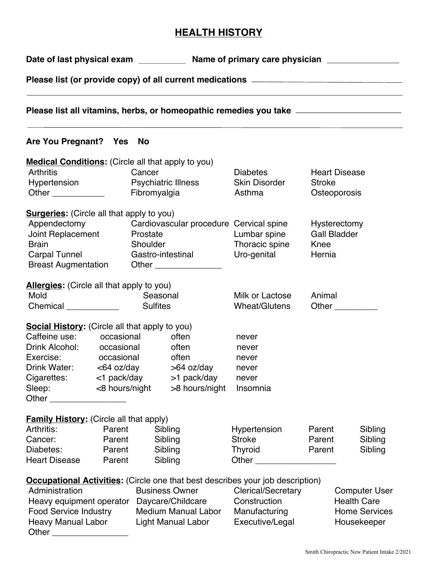# **HEALTH HISTORY**

Date of last physical exam Name of primary care physician **Name of primary care physician** 

**Please list (or provide copy) of all current medications** 

**Please list all vitamins, herbs, or homeopathic remedies you take** 

### **Are You Pregnant? Yes No**

| <b>Medical Conditions:</b> (Circle all that apply to you) |            |                            |                                         |                                                                                       |                       |                      |  |
|-----------------------------------------------------------|------------|----------------------------|-----------------------------------------|---------------------------------------------------------------------------------------|-----------------------|----------------------|--|
| <b>Arthritis</b>                                          |            | Cancer                     |                                         | <b>Diabetes</b>                                                                       |                       | <b>Heart Disease</b> |  |
| Hypertension Psychiatric Illness                          |            |                            |                                         | <b>Skin Disorder</b>                                                                  | <b>Stroke</b>         |                      |  |
| Other ____________                                        |            | Fibromyalgia               |                                         | Asthma                                                                                |                       | Osteoporosis         |  |
| <b>Surgeries:</b> (Circle all that apply to you)          |            |                            |                                         |                                                                                       |                       |                      |  |
| Appendectomy                                              |            |                            | Cardiovascular procedure Cervical spine |                                                                                       |                       | Hysterectomy         |  |
| Joint Replacement                                         |            | Prostate                   |                                         | Lumbar spine                                                                          |                       | <b>Gall Bladder</b>  |  |
| <b>Brain</b>                                              |            | Shoulder                   |                                         | Thoracic spine                                                                        | Knee                  |                      |  |
| Carpal Tunnel                                             |            |                            | Gastro-intestinal                       | Uro-genital                                                                           | Hernia                |                      |  |
| <b>Breast Augmentation</b>                                |            |                            | Other ________________                  |                                                                                       |                       |                      |  |
| <b>Allergies:</b> (Circle all that apply to you)          |            |                            |                                         |                                                                                       |                       |                      |  |
| Mold                                                      |            |                            | Seasonal                                | Milk or Lactose                                                                       | Animal                |                      |  |
| Chemical _____________                                    |            | <b>Sulfites</b>            |                                         | Wheat/Glutens                                                                         | Other $\qquad \qquad$ |                      |  |
|                                                           |            |                            |                                         |                                                                                       |                       |                      |  |
| <b>Social History:</b> (Circle all that apply to you)     |            |                            |                                         |                                                                                       |                       |                      |  |
| Caffeine use: occasional                                  |            |                            | often                                   | never                                                                                 |                       |                      |  |
| Drink Alcohol: occasional                                 |            |                            | often                                   | never                                                                                 |                       |                      |  |
| Exercise:                                                 | occasional |                            | often                                   | never                                                                                 |                       |                      |  |
|                                                           |            |                            | Drink Water: <64 oz/day >64 oz/day      | never                                                                                 |                       |                      |  |
|                                                           |            |                            | Cigarettes: <1 pack/day >1 pack/day     | never                                                                                 |                       |                      |  |
| Sleep: <8 hours/night >8 hours/night                      |            |                            |                                         | Insomnia                                                                              |                       |                      |  |
| Other ____________________                                |            |                            |                                         |                                                                                       |                       |                      |  |
| <b>Family History:</b> (Circle all that apply)            |            |                            |                                         |                                                                                       |                       |                      |  |
| Arthritis: Arthritis:                                     | Parent     |                            | Sibling                                 | Hypertension                                                                          | Parent                | Sibling              |  |
| Cancer:                                                   | Parent     |                            | Sibling                                 | <b>Stroke</b>                                                                         | Parent                | Sibling              |  |
| Diabetes:                                                 | Parent     |                            | Sibling                                 | <b>Thyroid</b>                                                                        | Parent                | Sibling              |  |
| <b>Heart Disease</b>                                      | Parent     |                            | Sibling                                 |                                                                                       |                       |                      |  |
|                                                           |            |                            |                                         | <b>Occupational Activities:</b> (Circle one that best describes your job description) |                       |                      |  |
| Administration                                            |            |                            | <b>Business Owner</b>                   | <b>Clerical/Secretary</b>                                                             |                       | <b>Computer User</b> |  |
| Heavy equipment operator                                  |            | Daycare/Childcare          |                                         | Construction                                                                          |                       | <b>Health Care</b>   |  |
| <b>Food Service Industry</b>                              |            | <b>Medium Manual Labor</b> |                                         | Manufacturing                                                                         |                       | <b>Home Services</b> |  |
| <b>Heavy Manual Labor</b>                                 |            | <b>Light Manual Labor</b>  |                                         | Executive/Legal                                                                       |                       | Housekeeper          |  |
| Other                                                     |            |                            |                                         |                                                                                       |                       |                      |  |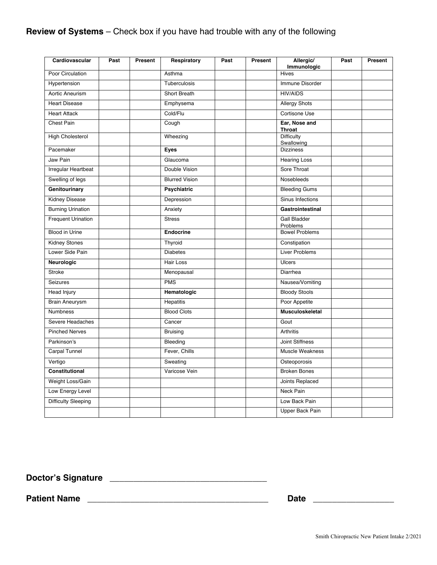# **Review of Systems** – Check box if you have had trouble with any of the following

| Cardiovascular             | Past | Present | Respiratory           | Past | Present | Allergic/<br>Immunologic        | Past | Present |
|----------------------------|------|---------|-----------------------|------|---------|---------------------------------|------|---------|
| Poor Circulation           |      |         | Asthma                |      |         | Hives                           |      |         |
| Hypertension               |      |         | Tuberculosis          |      |         | Immune Disorder                 |      |         |
| Aortic Aneurism            |      |         | Short Breath          |      |         | <b>HIV/AIDS</b>                 |      |         |
| <b>Heart Disease</b>       |      |         | Emphysema             |      |         | <b>Allergy Shots</b>            |      |         |
| <b>Heart Attack</b>        |      |         | Cold/Flu              |      |         | Cortisone Use                   |      |         |
| Chest Pain                 |      |         | Cough                 |      |         | Ear, Nose and<br><b>Throat</b>  |      |         |
| <b>High Cholesterol</b>    |      |         | Wheezing              |      |         | <b>Difficulty</b><br>Swallowing |      |         |
| Pacemaker                  |      |         | <b>Eyes</b>           |      |         | <b>Dizziness</b>                |      |         |
| Jaw Pain                   |      |         | Glaucoma              |      |         | <b>Hearing Loss</b>             |      |         |
| Irregular Heartbeat        |      |         | Double Vision         |      |         | Sore Throat                     |      |         |
| Swelling of legs           |      |         | <b>Blurred Vision</b> |      |         | Nosebleeds                      |      |         |
| Genitourinary              |      |         | <b>Psychiatric</b>    |      |         | <b>Bleeding Gums</b>            |      |         |
| <b>Kidney Disease</b>      |      |         | Depression            |      |         | Sinus Infections                |      |         |
| <b>Burning Urination</b>   |      |         | Anxiety               |      |         | Gastrointestinal                |      |         |
| <b>Frequent Urination</b>  |      |         | <b>Stress</b>         |      |         | <b>Gall Bladder</b><br>Problems |      |         |
| Blood in Urine             |      |         | <b>Endocrine</b>      |      |         | <b>Bowel Problems</b>           |      |         |
| <b>Kidney Stones</b>       |      |         | Thyroid               |      |         | Constipation                    |      |         |
| Lower Side Pain            |      |         | <b>Diabetes</b>       |      |         | <b>Liver Problems</b>           |      |         |
| Neurologic                 |      |         | Hair Loss             |      |         | <b>Ulcers</b>                   |      |         |
| <b>Stroke</b>              |      |         | Menopausal            |      |         | Diarrhea                        |      |         |
| <b>Seizures</b>            |      |         | <b>PMS</b>            |      |         | Nausea/Vomiting                 |      |         |
| Head Injury                |      |         | Hematologic           |      |         | <b>Bloody Stools</b>            |      |         |
| <b>Brain Aneurysm</b>      |      |         | Hepatitis             |      |         | Poor Appetite                   |      |         |
| <b>Numbness</b>            |      |         | <b>Blood Clots</b>    |      |         | Musculoskeletal                 |      |         |
| Severe Headaches           |      |         | Cancer                |      |         | Gout                            |      |         |
| <b>Pinched Nerves</b>      |      |         | <b>Bruising</b>       |      |         | Arthritis                       |      |         |
| Parkinson's                |      |         | Bleeding              |      |         | Joint Stiffness                 |      |         |
| Carpal Tunnel              |      |         | Fever, Chills         |      |         | Muscle Weakness                 |      |         |
| Vertigo                    |      |         | Sweating              |      |         | Osteoporosis                    |      |         |
| Constitutional             |      |         | Varicose Vein         |      |         | <b>Broken Bones</b>             |      |         |
| Weight Loss/Gain           |      |         |                       |      |         | Joints Replaced                 |      |         |
| Low Energy Level           |      |         |                       |      |         | Neck Pain                       |      |         |
| <b>Difficulty Sleeping</b> |      |         |                       |      |         | Low Back Pain                   |      |         |
|                            |      |         |                       |      |         | Upper Back Pain                 |      |         |

**Doctor's Signature** \_\_\_\_\_\_\_\_\_\_\_\_\_\_\_\_\_\_\_\_\_\_\_\_\_\_\_\_\_\_\_\_\_

**Patient Name Date 2018**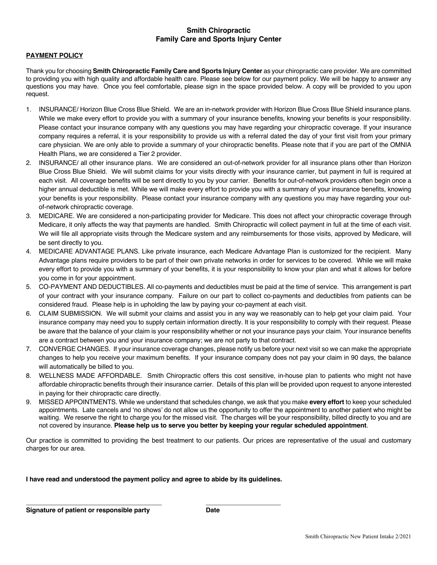#### **Smith Chiropractic Family Care and Sports Injury Center**

#### **PAYMENT POLICY**

Thank you for choosing **Smith Chiropractic Family Care and Sports Injury Center** as your chiropractic care provider. We are committed to providing you with high quality and affordable health care. Please see below for our payment policy. We will be happy to answer any questions you may have. Once you feel comfortable, please sign in the space provided below. A copy will be provided to you upon request.

- 1. INSURANCE/ Horizon Blue Cross Blue Shield. We are an in-network provider with Horizon Blue Cross Blue Shield insurance plans. While we make every effort to provide you with a summary of your insurance benefits, knowing your benefits is your responsibility. Please contact your insurance company with any questions you may have regarding your chiropractic coverage. If your insurance company requires a referral, it is your responsibility to provide us with a referral dated the day of your first visit from your primary care physician. We are only able to provide a summary of your chiropractic benefits. Please note that if you are part of the OMNIA Health Plans, we are considered a Tier 2 provider.
- 2. INSURANCE/ all other insurance plans. We are considered an out-of-network provider for all insurance plans other than Horizon Blue Cross Blue Shield. We will submit claims for your visits directly with your insurance carrier, but payment in full is required at each visit. All coverage benefits will be sent directly to you by your carrier. Benefits for out-of-network providers often begin once a higher annual deductible is met. While we will make every effort to provide you with a summary of your insurance benefits, knowing your benefits is your responsibility. Please contact your insurance company with any questions you may have regarding your outof-network chiropractic coverage.
- 3. MEDICARE. We are considered a non-participating provider for Medicare. This does not affect your chiropractic coverage through Medicare, it only affects the way that payments are handled. Smith Chiropractic will collect payment in full at the time of each visit. We will file all appropriate visits through the Medicare system and any reimbursements for those visits, approved by Medicare, will be sent directly to you.
- 4. MEDICARE ADVANTAGE PLANS. Like private insurance, each Medicare Advantage Plan is customized for the recipient. Many Advantage plans require providers to be part of their own private networks in order for services to be covered. While we will make every effort to provide you with a summary of your benefits, it is your responsibility to know your plan and what it allows for before you come in for your appointment.
- 5. CO-PAYMENT AND DEDUCTIBLES. All co-payments and deductibles must be paid at the time of service. This arrangement is part of your contract with your insurance company. Failure on our part to collect co-payments and deductibles from patients can be considered fraud. Please help is in upholding the law by paying your co-payment at each visit.
- 6. CLAIM SUBMISSION. We will submit your claims and assist you in any way we reasonably can to help get your claim paid. Your insurance company may need you to supply certain information directly. It is your responsibility to comply with their request. Please be aware that the balance of your claim is your responsibility whether or not your insurance pays your claim. Your insurance benefits are a contract between you and your insurance company; we are not party to that contract.
- 7. CONVERGE CHANGES. If your insurance coverage changes, please notify us before your next visit so we can make the appropriate changes to help you receive your maximum benefits. If your insurance company does not pay your claim in 90 days, the balance will automatically be billed to you.
- 8. WELLNESS MADE AFFORDABLE. Smith Chiropractic offers this cost sensitive, in-house plan to patients who might not have affordable chiropractic benefits through their insurance carrier. Details of this plan will be provided upon request to anyone interested in paying for their chiropractic care directly.
- 9. MISSED APPOINTMENTS. While we understand that schedules change, we ask that you make **every effort** to keep your scheduled appointments. Late cancels and 'no shows' do not allow us the opportunity to offer the appointment to another patient who might be waiting. We reserve the right to charge you for the missed visit. The charges will be your responsibility, billed directly to you and are not covered by insurance. **Please help us to serve you better by keeping your regular scheduled appointment**.

Our practice is committed to providing the best treatment to our patients. Our prices are representative of the usual and customary charges for our area.

**I have read and understood the payment policy and agree to abide by its guidelines.**